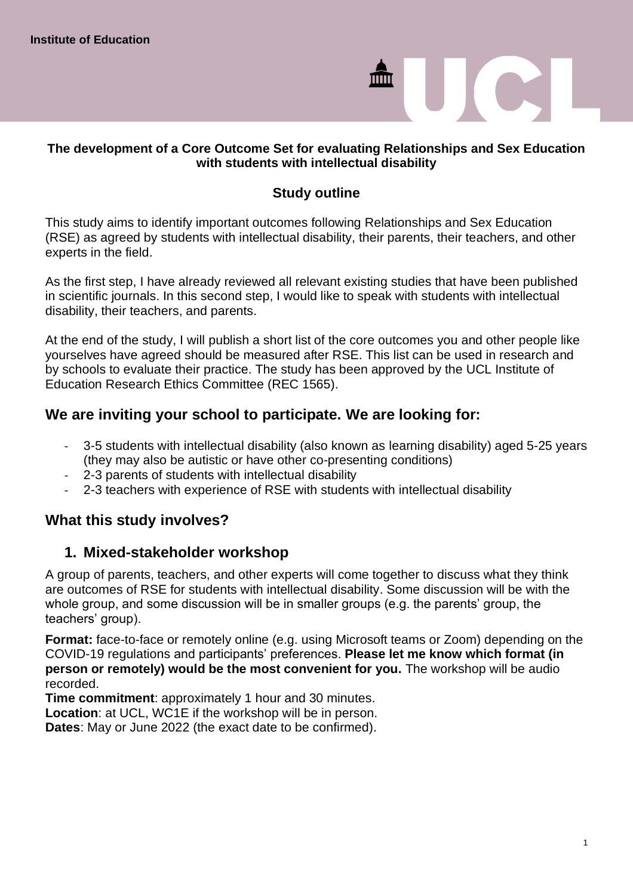# $\blacksquare$

### **The development of a Core Outcome Set for evaluating Relationships and Sex Education with students with intellectual disability**

### **Study outline**

This study aims to identify important outcomes following Relationships and Sex Education (RSE) as agreed by students with intellectual disability, their parents, their teachers, and other experts in the field.

As the first step, I have already reviewed all relevant existing studies that have been published in scientific journals. In this second step, I would like to speak with students with intellectual disability, their teachers, and parents.

At the end of the study, I will publish a short list of the core outcomes you and other people like yourselves have agreed should be measured after RSE. This list can be used in research and by schools to evaluate their practice. The study has been approved by the UCL Institute of Education Research Ethics Committee (REC 1565).

### **We are inviting your school to participate. We are looking for:**

- 3-5 students with intellectual disability (also known as learning disability) aged 5-25 years (they may also be autistic or have other co-presenting conditions)
- 2-3 parents of students with intellectual disability
- 2-3 teachers with experience of RSE with students with intellectual disability

### **What this study involves?**

### **1. Mixed-stakeholder workshop**

A group of parents, teachers, and other experts will come together to discuss what they think are outcomes of RSE for students with intellectual disability. Some discussion will be with the whole group, and some discussion will be in smaller groups (e.g. the parents' group, the teachers' group).

**Format:** face-to-face or remotely online (e.g. using Microsoft teams or Zoom) depending on the COVID-19 regulations and participants' preferences. **Please let me know which format (in person or remotely) would be the most convenient for you.** The workshop will be audio recorded.

**Time commitment**: approximately 1 hour and 30 minutes.

**Location**: at UCL, WC1E if the workshop will be in person.

**Dates**: May or June 2022 (the exact date to be confirmed).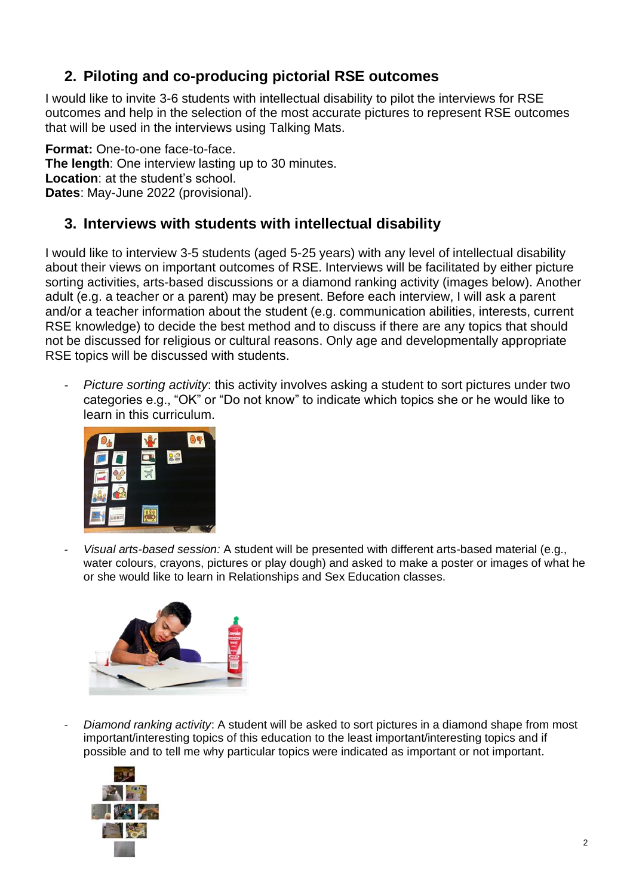# **2. Piloting and co-producing pictorial RSE outcomes**

I would like to invite 3-6 students with intellectual disability to pilot the interviews for RSE outcomes and help in the selection of the most accurate pictures to represent RSE outcomes that will be used in the interviews using Talking Mats.

**Format:** One-to-one face-to-face. **The length**: One interview lasting up to 30 minutes. **Location**: at the student's school. **Dates**: May-June 2022 (provisional).

# **3. Interviews with students with intellectual disability**

I would like to interview 3-5 students (aged 5-25 years) with any level of intellectual disability about their views on important outcomes of RSE. Interviews will be facilitated by either picture sorting activities, arts-based discussions or a diamond ranking activity (images below). Another adult (e.g. a teacher or a parent) may be present. Before each interview, I will ask a parent and/or a teacher information about the student (e.g. communication abilities, interests, current RSE knowledge) to decide the best method and to discuss if there are any topics that should not be discussed for religious or cultural reasons. Only age and developmentally appropriate RSE topics will be discussed with students.

*Picture sorting activity*: this activity involves asking a student to sort pictures under two categories e.g., "OK" or "Do not know" to indicate which topics she or he would like to learn in this curriculum.



- *Visual arts-based session:* A student will be presented with different arts-based material (e.g., water colours, crayons, pictures or play dough) and asked to make a poster or images of what he or she would like to learn in Relationships and Sex Education classes.



- *Diamond ranking activity*: A student will be asked to sort pictures in a diamond shape from most important/interesting topics of this education to the least important/interesting topics and if possible and to tell me why particular topics were indicated as important or not important.